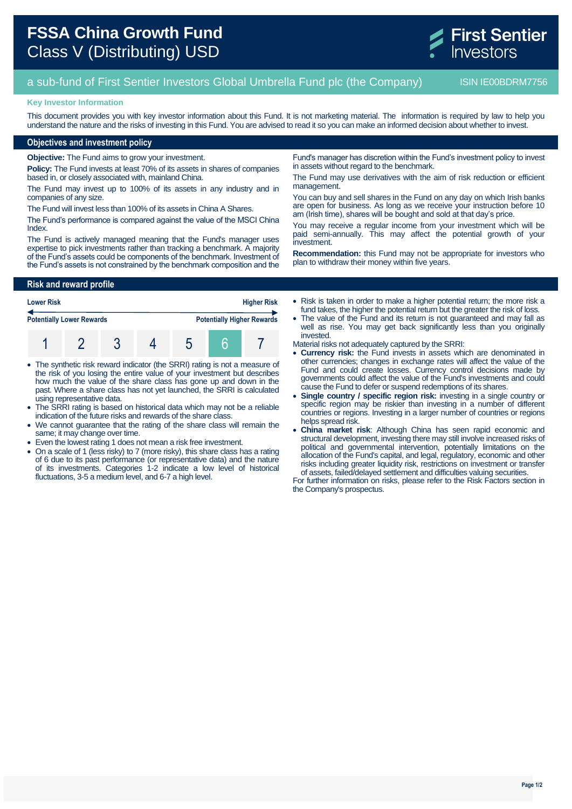

# a sub-fund of First Sentier Investors Global Umbrella Fund plc (the Company) ISIN IE00BDRM7756

### **Key Investor Information**

This document provides you with key investor information about this Fund. It is not marketing material. The information is required by law to help you understand the nature and the risks of investing in this Fund. You are advised to read it so you can make an informed decision about whether to invest.

## **Objectives and investment policy**

**Objective:** The Fund aims to grow your investment.

**Policy:** The Fund invests at least 70% of its assets in shares of companies based in, or closely associated with, mainland China.

The Fund may invest up to 100% of its assets in any industry and in companies of any size.

The Fund will invest less than 100% of its assets in China A Shares.

The Fund's performance is compared against the value of the MSCI China Index.

The Fund is actively managed meaning that the Fund's manager uses expertise to pick investments rather than tracking a benchmark. A majority of the Fund's assets could be components of the benchmark. Investment of the Fund's assets is not constrained by the benchmark composition and the

**Risk and reward profile**

| <b>Higher Risk</b><br><b>Lower Risk</b> |  |  |  |  |  |                                   |
|-----------------------------------------|--|--|--|--|--|-----------------------------------|
| <b>Potentially Lower Rewards</b>        |  |  |  |  |  | <b>Potentially Higher Rewards</b> |
|                                         |  |  |  |  |  |                                   |

- The synthetic risk reward indicator (the SRRI) rating is not a measure of the risk of you losing the entire value of your investment but describes how much the value of the share class has gone up and down in the past. Where a share class has not yet launched, the SRRI is calculated using representative data.
- The SRRI rating is based on historical data which may not be a reliable indication of the future risks and rewards of the share class.
- We cannot guarantee that the rating of the share class will remain the same; it may change over time.
- Even the lowest rating 1 does not mean a risk free investment.
- On a scale of 1 (less risky) to 7 (more risky), this share class has a rating of 6 due to its past performance (or representative data) and the nature of its investments. Categories 1-2 indicate a low level of historical fluctuations, 3-5 a medium level, and 6-7 a high level.

Fund's manager has discretion within the Fund's investment policy to invest in assets without regard to the benchmark.

The Fund may use derivatives with the aim of risk reduction or efficient management.

You can buy and sell shares in the Fund on any day on which Irish banks are open for business. As long as we receive your instruction before 10 am (Irish time), shares will be bought and sold at that day's price.

You may receive a regular income from your investment which will be paid semi-annually. This may affect the potential growth of your investment.

**Recommendation:** this Fund may not be appropriate for investors who plan to withdraw their money within five years.

 Risk is taken in order to make a higher potential return; the more risk a fund takes, the higher the potential return but the greater the risk of loss.

 The value of the Fund and its return is not guaranteed and may fall as well as rise. You may get back significantly less than you originally invested.

Material risks not adequately captured by the SRRI:

- **Currency risk:** the Fund invests in assets which are denominated in other currencies; changes in exchange rates will affect the value of the Fund and could create losses. Currency control decisions made by governments could affect the value of the Fund's investments and could cause the Fund to defer or suspend redemptions of its shares.
- **Single country / specific region risk:** investing in a single country or specific region may be riskier than investing in a number of different countries or regions. Investing in a larger number of countries or regions helps spread risk.
- **China market risk**: Although China has seen rapid economic and structural development, investing there may still involve increased risks of political and governmental intervention, potentially limitations on the allocation of the Fund's capital, and legal, regulatory, economic and other risks including greater liquidity risk, restrictions on investment or transfer of assets, failed/delayed settlement and difficulties valuing securities.

For further information on risks, please refer to the Risk Factors section in the Company's prospectus.